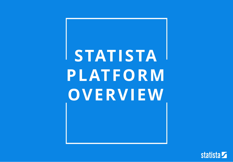# **STATISTA PLATFORM OVERVIEW**

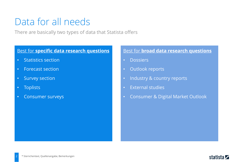### Data for all needs

There are basically two types of data that Statista offers

#### Best for **specific data research questions**

- Statistics section
- Forecast section
- Survey section
- Toplists
- Consumer surveys

#### Best for **broad data research questions**

- Dossiers
- Outlook reports
- Industry & country reports
- External studies
- Consumer & Digital Market Outlook

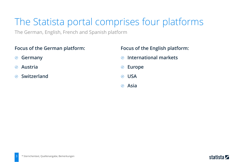# The Statista portal comprises four platforms

The German, English, French and Spanish platform

#### **Focus of the German platform:**

- **Germany**  $\circledcirc$
- **Austria**  $\bigcirc$
- **Switzerland**  $\bigcirc$

#### **Focus of the English platform:**

- **International markets**  $\odot$
- **Europe**  $\circledcirc$
- **USA**
- **Asia**  $\odot$

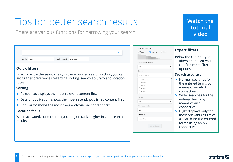# Tips for better search results

There are various functions for narrowing your search

#### **Quick filters**

ecommerce

Sort by Relevance

Directly below the search field, in the advanced search section, you can set further preferences regarding sorting, search accuracy and location focus.

#### **Sorting**

- Relevance: displays the most relevant content first
- Date of publication: shows the most recently published content first.
- Popularity: shows the most frequently viewed content first.

Deaction Focus + Deactivated

#### **Location focus**

When activated, content from your region ranks higher in your search results.

| curacy $\bm{\Theta}$<br><b>O</b> Normal<br>$\bigcirc$ High | <b>Expert filters</b>                                                                                                                                                                                                                                                                                    |
|------------------------------------------------------------|----------------------------------------------------------------------------------------------------------------------------------------------------------------------------------------------------------------------------------------------------------------------------------------------------------|
| s & regions                                                | Below the content type<br>filters on the left you<br>can find more filter<br>options.                                                                                                                                                                                                                    |
| search                                                     | <b>Search accuracy</b>                                                                                                                                                                                                                                                                                   |
| nistan<br>ia<br>ra<br>n date<br>Refresh Search             | Normal: searches for<br>the entered terms by<br>means of an AND<br>connective<br>$\blacktriangleright$ Wide: searches for the<br>entered terms by<br>means of an OR<br>connective<br>High: displays only the<br>most relevant results of<br>a search for the entered<br>terms using an AND<br>connective |
|                                                            |                                                                                                                                                                                                                                                                                                          |

Search ac Wide

Continen  $A$ ll Country country Afgha Albar Alger Ando Ango

Category  $A$ Publicatio  $AII$ Archive 0 no archi

Q

### **[Watch the](https://vimeo.com/202712374) tutorial video**

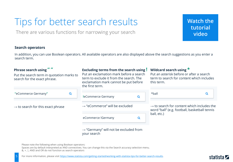# Tips for better search results

There are various functions for narrowing your search

**[Watch the](https://vimeo.com/202712374) tutorial video**

#### **Search operators**

In addition, you can use Boolean operators. All available operators are also displayed above the search suggestions as you enter a search term.

| Phrase search using ""<br>Put the search term in quotation marks to<br>search for the exact phrase. |   | <b>Excluding terms from the search using!</b><br>Put an exclamation mark before a search<br>term to exclude it from the search. The<br>exclamation mark cannot be put before<br>the first term. |   | Wildcard search using $*$<br>Put an asterisk before or after a search<br>term to search for content which includes<br>this term. |   |
|-----------------------------------------------------------------------------------------------------|---|-------------------------------------------------------------------------------------------------------------------------------------------------------------------------------------------------|---|----------------------------------------------------------------------------------------------------------------------------------|---|
| "eCommerce Germany"                                                                                 | Q | leCommerce Germany                                                                                                                                                                              | Q | *ball                                                                                                                            | Q |
| $\rightarrow$ to search for this exact phrase                                                       |   | $\rightarrow$ "eCommerce" will be excluded                                                                                                                                                      |   | $\rightarrow$ to search for content which includes the<br>word "ball" (e.g. football, basketball tennis                          |   |
|                                                                                                     |   | eCommerce !Germany                                                                                                                                                                              | Q | ball, etc.)                                                                                                                      |   |
|                                                                                                     |   | $\rightarrow$ "Germany" will not be excluded from<br>your search                                                                                                                                |   |                                                                                                                                  |   |

Please note the following when using Boolean operators:

Spaces are by default interpreted as AND connectives. You can change this via the Search accuracy selection menu.

&, +, |, AND and OR do not function as search operators

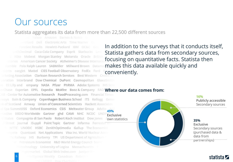### Our sources

#### Statista aggregates its data from more than 22,500 different sources

**EHillard Dell Electronic Arts Time Warner EL** ForeSee Results Hewlett-Packard IBM OC&C Gen InthDecimal Coca-Cola Company Esprit Starbucks Levi Nike Mobext Morgan Stanley Motorola Oracle British atories American Cancer Society Alzheimer's Disease Internati Gamble Polo Ralph Lauren SABMiller Millward Brown Datame stems easyJet Mattel CIES Football Observatory FedEx Ford **Stems easyJet Mattel CIES Football Observatory FedEx Ford BCONVeniently.**<br>The Convenient Convenient Clarkson Research Services Best Western Crowd States Convention poration Interbrand Dow Chemical DuPont Cosmopolitan GlaxoSmith an Eli Lilly and ompany NASA Pfizer PhRMA Adobe Systems IHS Scre In Chase Experian EPFL Expedia McAfee Booz & Company FAO **Where our data comes from: AR - Center for Automotive Research FoodProcessing.com Financial Times** rways Bain & Company Copenhagen Business School ITS Kellogg Gener nk of Scotland Amway Union of Concerned Scientists Hackett Associates **1 Spa SummitIISS** Oxford Economics CSIS Meltwater Group Advito **Exclusive** BBDO Worldwide Gartner ghd CAMI NHC NCDC UNDP Exclusive States Compagnia di San Paolo Robert Koch Institut Dow Jones Aown statistics I Street Journal iSuppli Point Topic Gartner Informa Forrester Re **IN WITC UNODC HSBC ZenithOptimedia Gallup The Economist** impete Quantcast Net Applications Visa Inc. World Nuclear Asset fic Railway IHS Burberry TPI US Department of Agriculture al Petroleum Economist R&D World Energy Council Score **Riotechnology University of Logica Massachusetts Ergermarket Global Web Index.com Juniper Re** 6

In addition to the surveys that it conducts itself, Statista gathers data from secondary sources, focusing on quantitative facts. Statista then makes this data available quickly and



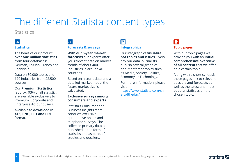#### **Statistics**

### l and

#### **Statistics**

The heart of our product: **over one million statistics**  from four databases: German, English, French and Spanish.\*

Data on 80,000 topics and 170 industries from 22,500 sources.

#### Our **Premium Statistics**

(approx. 93% of all statistic), are available exclusively to Premium, Corporate and Enterprise Account users.

Available to **download in XLS, PNG, PPT and PDF**  format.

#### m **Forecasts & surveys**

**With our 5-year market forecasts** our experts offer you relevant data on market trends of about 400 industries in around 40 countries.

Based on historic data and a detailed market model the future market size is calculated.

#### **Exclusive surveys among consumers and experts**

Statista's Consumer and Business Insights team conducts exclusive quantitative online and telephone surveys. The collected primary data is published in the form of statistics and as parts of studies and dossiers.

#### $|\mathbf{E}|$ **Infographics**

### Our infographics **visualize**

**hot topics and issues**. Every day our data journalists publish several graphics about different topics such as Media, Society, Politics, Economy or Technology.

For more information, please visit

[https://www.statista.com/ch](https://www.statista.com/chartoftheday/) artoftheday/.

#### $\blacksquare$ **Topic pages**

With our topic pages we provide you with an **initial comprehensive overview of all content** that we offer on a certain topic.

Along with a short synopsis, these pages link to relevant dossiers and forecasts as well as the latest and most popular statistics on the chosen topic.

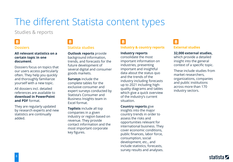Studies & reports

#### 圖 **Dossiers**

#### **All relevant statistics on a certain topic in one document**.

Dossiers focus on topics that our users access particularly often. They help you quickly and thoroughly familiarize yourself with a new topic.

All dossiers incl. detailed references are available to **download in PowerPoint and PDF** format.

They are regularly updated by research experts and new statistics are continually added.

#### 圖 **Statista studies**

**Outlook reports** provide background information, trends, and forecasts for the future development of several digital and consumer goods markets.

**Surveys** include the complete tables for the exclusive consumer and expert surveys conducted by Statista's Consumer and Business Insights team in Excel format.

**Toplists** include all top companies in a given industry or region based on revenue. They provide contact information and the most important corporate key figures.

### 圖

#### **Industry & country reports**

#### **Industry reports**

consolidate the most important information on industries, presenting important and insightful data about the status quo and the trends of the industry including forecasts up to 2021 including highquality diagrams and tables which give a quick overview of the industry's current situation.

#### **Country reports** give

insights into the major country trends in order to assess the risks and opportunities relevant for international business. They cover economic conditions, public finances, labor force, consumption, social development, etc., and include statistics, forecasts, survey results and analyses.

### 圖

#### **External studies**

#### **32,000 external studies,**

which provide a detailed insight into the general context of a specific topic.

These include studies from market researchers, organizations, companies and public institutions across more than 170 industry sectors.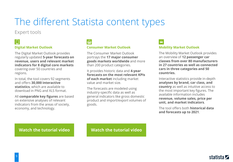#### Expert tools

#### ١O **Digital Market Outlook**

The Digital Market Outlook provides regularly updated **5-year forecasts on revenue, users and relevant market indicators for 8 digital core markets**  covering over 50 countries and regions.

In total, the tool covers 92 segments and offers **30,000 interactive statistics**, which are available to download in PNG and XLS format.

All **comparable key figures** are based on extensive analyses of relevant indicators from the areas of society, economy, and technology.

 $\overline{m}$ 

#### **Consumer Market Outlook**

The Consumer Market Outlook portrays the **17 major consumer goods markets worldwide** and more than 200 product categories.

It provides historic data and **4-year forecasts on the most relevant KPIs of each market** including market value and market size.

The forecasts are modeled using industry-specific data as well as general indicators like gross domestic product and import/export volumes of goods.

 $\bigoplus$ 

#### **Mobility Market Outlook**

The Mobility Market Outlook provides an overview of **12 passenger car classes from over 80 manufacturers in 27 countries as well as connected cars in three categories and 50 countries.**

Interactive statistics provide in-depth **analyses by brand, car class, and country** as well as intuitive access to the most important key figures. The available information includes **revenue, volume sales, price per unit, and market indicators**.

The tool offers both **historical data and forecasts up to 2021**.

#### **[Watch the](https://vimeo.com/206022627) tutorial video [Watch the](https://vimeo.com/208289086) tutorial video**

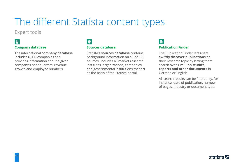#### Expert tools

#### 

#### **Company database**

The international **company database**  includes 6,000 companies and provides information about a given company's headquarters, revenue, growth and employee numbers.

### $\epsilon$

#### **Sources database**

Statista's **sources database** contains background information on all 22,500 sources. Includes all market research institutes, organizations, companies and governmental institutions that act as the basis of the Statista portal.

#### **a Publication Finder**

The Publication Finder lets users **swiftly discover publications** on their research topic by letting them search over **1 million studies, reports and other documents** in German or English.

All search results can be filtered by, for instance, date of publication, number of pages, industry or document type.

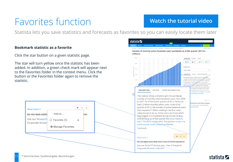## Favorites function **[Watch the](https://vimeo.com/219816419) tutorial video**

Statista lets you save statistics and forecasts as favorites so you can easily locate them later

#### **Bookmark statistic as a favorite**

Click the star button on a given statistic page.

The star will turn yellow once the statistic has been added. In addition, a green check mark will appear next to the Favorites folder in the context menu. Click the button or the Favorites folder again to remove the statistic.



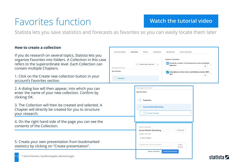### Favorites function **[Watch the](https://vimeo.com/219816419) tutorial video**

Statista lets you save statistics and forecasts as favorites so you can easily locate them later

#### **How to create a collection**

If you do research on several topics, Statista lets you organize Favorites into folders. A Collection in this case refers to the superordinate level. Each Collection can contain multiple Chapters.

1. Click on the Create new collection button in your account's Favorites section.

2. A dialog box will then appear, into which you can enter the name of your new collection. Confirm by clicking OK.

3. The Collection will then be created and selected. A Chapter will directly be created for you to structure your research.

4. On the right hand side of the page you can see the contents of the Collection.

5. Create your own presentation from bookmarked statistics by clicking on "Create presentation".



| Manage Favorites   |                                 |                            |  |
|--------------------|---------------------------------|----------------------------|--|
| My favorites       |                                 |                            |  |
|                    |                                 |                            |  |
|                    | <b>Favorites</b>                |                            |  |
|                    | <b>Social Media Marketing</b>   |                            |  |
| A                  |                                 |                            |  |
|                    | $\Box$ 1. New Chapter           |                            |  |
|                    |                                 |                            |  |
|                    |                                 |                            |  |
|                    |                                 |                            |  |
|                    |                                 |                            |  |
| Current Collection |                                 |                            |  |
|                    | <b>Social Media Marketing</b>   | Rename                     |  |
| Chapter Overview   |                                 |                            |  |
| 1. New Chapter     |                                 |                            |  |
|                    |                                 |                            |  |
|                    | Chaptername (max. 80 characters | Create                     |  |
|                    |                                 | Chapter                    |  |
|                    | Delete collection               | <b>Create presentation</b> |  |

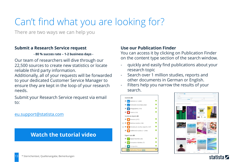# Can't find what you are looking for?

There are two ways we can help you

#### **Submit a Research Service request**

#### **- 80 % succes rate – 1-2 business days -**

Our team of researchers will dive through our 22,500 sources to create new statistics or locate reliable third party information.

Additionally, all of your requests will be forwarded to your dedicated Customer Service Manager to ensure they are kept in the loop of your research needs.

Submit your Research Service request via email to:

[eu.support@statista.com](mailto:support@statista.com)

### **[Watch the](https://vimeo.com/217672745) tutorial video**

#### **Use our Publication Finder**

You can access it by clicking on Publication Finder on the content type section of the search window.

- quickly and easily find publications about your research topic
- Search over 1 million studies, reports and other documents in German or English.
- Filters help you narrow the results of your search.





statista Z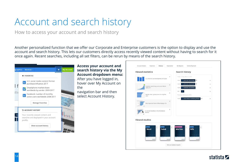# Account and search history

How to access your account and search history

Another personalized function that we offer our Corporate and Enterprise customers is the option to display and use the account and search history. This lets our customers directly access recently viewed content without having to search for it once again. Recent searches, including all set filters, can be rerun by means of the search history.



#### **Access your account and search history via the My Account dropdown menu:**

After you have logged in, hover over My Account on the

navigation bar and then select Account History.